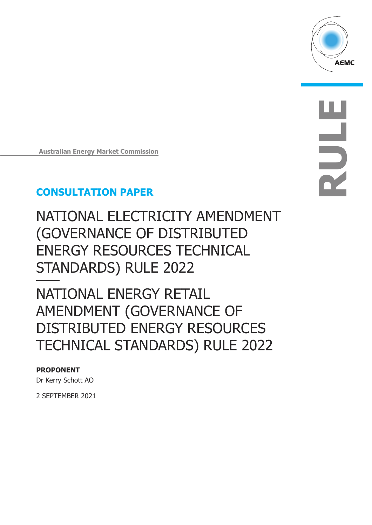

**RULE**

**Australian Energy Market Commission**

## **CONSULTATION PAPER**

NATIONAL ELECTRICITY AMENDMENT (GOVERNANCE OF DISTRIBUTED ENERGY RESOURCES TECHNICAL STANDARDS) RULE 2022

NATIONAL ENERGY RETAIL AMENDMENT (GOVERNANCE OF DISTRIBUTED ENERGY RESOURCES TECHNICAL STANDARDS) RULE 2022

### **PROPONENT**

Dr Kerry Schott AO

2 SEPTEMBER 2021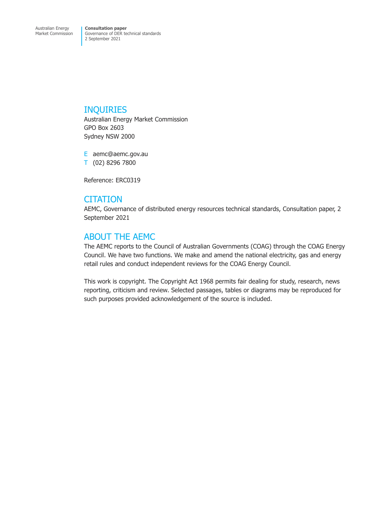### INQUIRIES

Australian Energy Market Commission GPO Box 2603 Sydney NSW 2000

E aemc@aemc.gov.au T (02) 8296 7800

Reference: ERC0319

### **CITATION**

AEMC, Governance of distributed energy resources technical standards, Consultation paper, 2 September 2021

### ABOUT THE AEMC

The AEMC reports to the Council of Australian Governments (COAG) through the COAG Energy Council. We have two functions. We make and amend the national electricity, gas and energy retail rules and conduct independent reviews for the COAG Energy Council.

This work is copyright. The Copyright Act 1968 permits fair dealing for study, research, news reporting, criticism and review. Selected passages, tables or diagrams may be reproduced for such purposes provided acknowledgement of the source is included.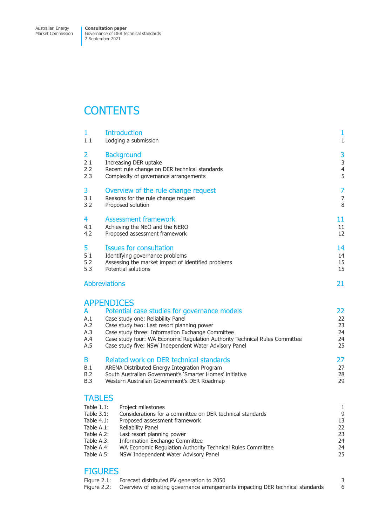Market Commission

Governance of DER technical standards 2 September 2021

## **CONTENTS**

| 1                                                                                                                 | <b>Introduction</b>                                                                                                                                                                                                                                                                                                                              | 1                                |
|-------------------------------------------------------------------------------------------------------------------|--------------------------------------------------------------------------------------------------------------------------------------------------------------------------------------------------------------------------------------------------------------------------------------------------------------------------------------------------|----------------------------------|
| 1.1                                                                                                               | Lodging a submission                                                                                                                                                                                                                                                                                                                             | $1\,$                            |
| 2                                                                                                                 | <b>Background</b>                                                                                                                                                                                                                                                                                                                                | 3                                |
| 2.1                                                                                                               | Increasing DER uptake                                                                                                                                                                                                                                                                                                                            | 3                                |
| 2.2                                                                                                               | Recent rule change on DER technical standards                                                                                                                                                                                                                                                                                                    | $\overline{4}$                   |
| 2.3                                                                                                               | Complexity of governance arrangements                                                                                                                                                                                                                                                                                                            | 5                                |
| 3                                                                                                                 | Overview of the rule change request                                                                                                                                                                                                                                                                                                              | 7                                |
| 3.1                                                                                                               | Reasons for the rule change request                                                                                                                                                                                                                                                                                                              | $\overline{7}$                   |
| 3.2                                                                                                               | Proposed solution                                                                                                                                                                                                                                                                                                                                | 8                                |
| 4                                                                                                                 | <b>Assessment framework</b>                                                                                                                                                                                                                                                                                                                      | 11                               |
| 4.1                                                                                                               | Achieving the NEO and the NERO                                                                                                                                                                                                                                                                                                                   | 11                               |
| 4.2                                                                                                               | Proposed assessment framework                                                                                                                                                                                                                                                                                                                    | 12                               |
| 5                                                                                                                 | <b>Issues for consultation</b>                                                                                                                                                                                                                                                                                                                   | 14                               |
| 5.1                                                                                                               | Identifying governance problems                                                                                                                                                                                                                                                                                                                  | 14                               |
| 5.2                                                                                                               | Assessing the market impact of identified problems                                                                                                                                                                                                                                                                                               | 15                               |
| 5.3                                                                                                               | Potential solutions                                                                                                                                                                                                                                                                                                                              | 15                               |
|                                                                                                                   | <b>Abbreviations</b>                                                                                                                                                                                                                                                                                                                             | 21                               |
| A<br>A.1<br>A.2<br>A.3<br>A.4<br>A.5                                                                              | <b>APPENDICES</b><br>Potential case studies for governance models<br>Case study one: Reliability Panel<br>Case study two: Last resort planning power<br>Case study three: Information Exchange Committee<br>Case study four: WA Economic Regulation Authority Technical Rules Committee<br>Case study five: NSW Independent Water Advisory Panel | 22<br>22<br>23<br>24<br>24<br>25 |
| B                                                                                                                 | Related work on DER technical standards                                                                                                                                                                                                                                                                                                          |                                  |
| B.1                                                                                                               | ARENA Distributed Energy Integration Program                                                                                                                                                                                                                                                                                                     |                                  |
| B.2                                                                                                               | South Australian Government's 'Smarter Homes' initiative                                                                                                                                                                                                                                                                                         |                                  |
| B.3                                                                                                               | Western Australian Government's DER Roadmap                                                                                                                                                                                                                                                                                                      |                                  |
| <b>TABLES</b><br>Table $1.1$ :<br>Table $3.1$ :<br>Table $4.1$ :<br>Table A.1:<br>$T - 1$ $\cdot$ $\cdot$ $\cdot$ | Project milestones<br>Considerations for a committee on DER technical standards<br>Proposed assessment framework<br>Reliability Panel                                                                                                                                                                                                            | 1<br>9<br>13<br>22<br>$\sim$     |

- Table A.2: Last resort planning power 23
- [Table A.3: Information Exchange Committee](#page-4-0)<br>Table A.4: WA Economic Regulation Authority Technical Rules Committee 24 [Table A.4: WA Economic Regulation Authority Technical Rules Committee](#page-12-0) 24<br>Table A.5: NSW Independent Water Advisory Panel [Table A.5: NSW Independent Water Advisory Panel](#page-16-0)

### **[FIGURES](#page-27-0)**

| Figure 2.1: Forecast distributed PV generation to 2050                                     |  |
|--------------------------------------------------------------------------------------------|--|
| Figure 2.2: Overview of existing governance arrangements impacting DER technical standards |  |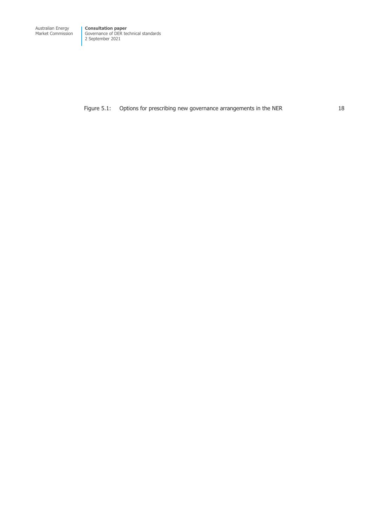Market Commission Governance of DER technical standards 2 September 2021

Figure 5.1: Options for prescribing new governance arrangements in the NER 18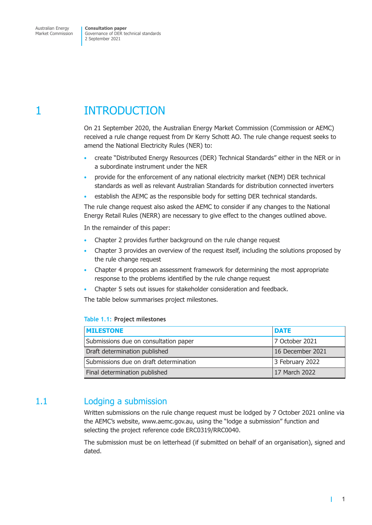<span id="page-4-0"></span>Market Commission

Governance of DER technical standards 2 September 2021

## 1 INTRODUCTION

On 21 September 2020, the Australian Energy Market Commission (Commission or AEMC) received a rule change request from Dr Kerry Schott AO. The rule change request seeks to amend the National Electricity Rules (NER) to:

- create "Distributed Energy Resources (DER) Technical Standards" either in the NER or in a subordinate instrument under the NER
- provide for the enforcement of any national electricity market (NEM) DER technical standards as well as relevant Australian Standards for distribution connected inverters
- establish the AEMC as the responsible body for setting DER technical standards.

The rule change request also asked the AEMC to consider if any changes to the National Energy Retail Rules (NERR) are necessary to give effect to the changes outlined above.

In the remainder of this paper:

- Chapter 2 provides further background on the rule change request
- Chapter 3 provides an overview of the request itself, including the solutions proposed by the rule change request
- [Chapter 4](#page-6-1) proposes an assessment framework for determining the most appropriate [response t](#page-10-1)o the problems identified by the rule change request
- Chapter 5 sets out issues for stakeholder consideration and feedback.

Th[e table belo](#page-14-1)w summarises project milestones.

#### **Tab[le 1.1: Pro](#page-17-1)ject milestones**

| <b>MILESTONE</b>                                          | <b>DATE</b>    |
|-----------------------------------------------------------|----------------|
| Submissions due on consultation paper                     | 7 October 2021 |
| Draft determination published<br>16 December 2021         |                |
| Submissions due on draft determination<br>3 February 2022 |                |
| Final determination published                             | 17 March 2022  |

### 1.1 Lodging a submission

Written submissions on the rule change request must be lodged by 7 October 2021 online via the AEMC's website, www.aemc.gov.au, using the "lodge a submission" function and selecting the project reference code ERC0319/RRC0040.

The submission must be on letterhead (if submitted on behalf of an organisation), signed and dated.

 $\mathbf{I}$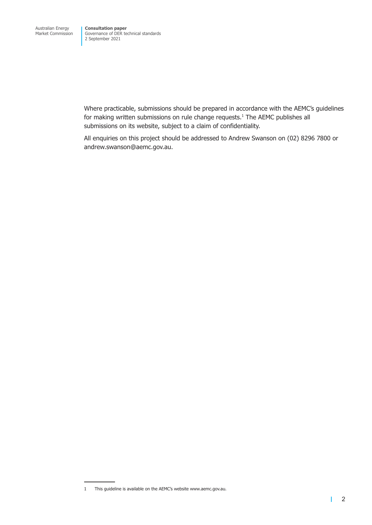Where practicable, submissions should be prepared in accordance with the AEMC's guidelines for making written submissions on rule change requests.<sup>1</sup> The AEMC publishes all submissions on its website, subject to a claim of confidentiality.

All enquiries on this project should be addressed to Andrew Swanson on (02) 8296 7800 or andrew.swanson@aemc.gov.au.

<sup>1</sup> This guideline is available on the AEMC's website www.aemc.gov.au.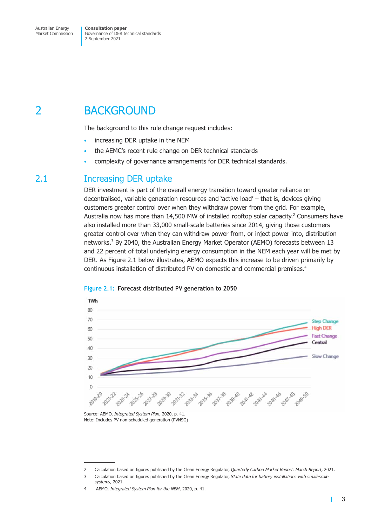<span id="page-6-0"></span>Market Commission

Governance of DER technical standards 2 September 2021

## 2 BACKGROUND

The background to this rule change request includes:

- increasing DER uptake in the NEM
- the AEMC's recent rule change on DER technical standards
- complexity of governance arrangements for DER technical standards.

### 2.1 Increasing DER uptake

DER investment is part of the overall energy transition toward greater reliance on decentralised, variable generation resources and 'active load' – that is, devices giving customers greater control over when they withdraw power from the grid. For example, Australia now has more than 14,500 MW of installed rooftop solar capacity.<sup>2</sup> Consumers have also installed more than 33,000 small-scale batteries since 2014, giving those customers greater control over when they can withdraw power from, or inject power into, distribution networks.<sup>3</sup> By 2040, the Australian Energy Market Operator (AEMO) forecasts between 13 and 22 percent of total underlying energy consumption in the NEM each year will be met by DER. As Figure 2.1 below illustrates, AEMO expects this increase to be driven primarily by continuous installation of distributed PV on domestic and commercial premises.<sup>4</sup>





Source: AEMO, *Integrated System Plan*, 2020, p. 41. Note: Includes PV non-scheduled generation (PVNSG)

<span id="page-6-3"></span><span id="page-6-2"></span><span id="page-6-1"></span>1

<sup>2</sup> Calculation based on figures published by the Clean Energy Regulator, *Quarterly Carbon Market Report: March Report*, 2021.

<sup>3</sup> Calculation based on figures published by the Clean Energy Regulator, *State data for battery installations with small-scale systems*, 2021.

<sup>4</sup> AEMO, *Integrated System Plan for the NEM*, 2020, p. 41.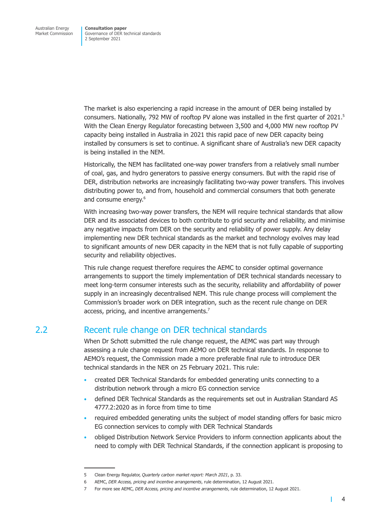<span id="page-7-0"></span>The market is also experiencing a rapid increase in the amount of DER being installed by consumers. Nationally, 792 MW of rooftop PV alone was installed in the first quarter of 2021.<sup>5</sup> With the Clean Energy Regulator forecasting between 3,500 and 4,000 MW new rooftop PV capacity being installed in Australia in 2021 this rapid pace of new DER capacity being installed by consumers is set to continue. A significant share of Australia's new DER capacity is being installed in the NEM.

Historically, the NEM has facilitated one-way power transfers from a relatively small number of coal, gas, and hydro generators to passive energy consumers. But with the rapid rise of DER, distribution networks are increasingly facilitating two-way power transfers. This involves distributing power to, and from, household and commercial consumers that both generate and consume energy.<sup>6</sup>

With increasing two-way power transfers, the NEM will require technical standards that allow DER and its associated devices to both contribute to grid security and reliability, and minimise any negative impacts from DER on the security and reliability of power supply. Any delay implementing new DER technical standards as the market and technology evolves may lead to significant amounts of new DER capacity in the NEM that is not fully capable of supporting security and reliability objectives.

This rule change request therefore requires the AEMC to consider optimal governance arrangements to support the timely implementation of DER technical standards necessary to meet long-term consumer interests such as the security, reliability and affordability of power supply in an increasingly decentralised NEM. This rule change process will complement the Commission's broader work on DER integration, such as the recent rule change on DER access, pricing, and incentive arrangements.<sup>7</sup>

### 2.2 Recent rule change on DER technical standards

When Dr Schott submitted the rule change request, the AEMC was part way through assessing a rule change request from AEMO on DER technical standards. In response to AEMO's request, the Commission made a more preferable final rule to introduce DER technical standards in the NER on 25 February 2021. This rule:

- created DER Technical Standards for embedded generating units connecting to a distribution network through a micro EG connection service
- defined DER Technical Standards as the requirements set out in Australian Standard AS 4777.2:2020 as in force from time to time
- required embedded generating units the subject of model standing offers for basic micro EG connection services to comply with DER Technical Standards
- obliged Distribution Network Service Providers to inform connection applicants about the need to comply with DER Technical Standards, if the connection applicant is proposing to

т

<sup>5</sup> Clean Energy Regulator, *Quarterly carbon market report: March 2021*, p. 33.

<sup>6</sup> AEMC, *DER Access, pricing and incentive arrangements*, rule determination, 12 August 2021.

<sup>7</sup> For more see AEMC, *DER Access, pricing and incentive arrangements*, rule determination, 12 August 2021.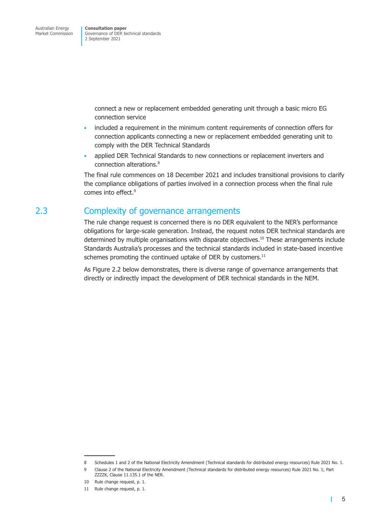<span id="page-8-0"></span>connect a new or replacement embedded generating unit through a basic micro EG connection service

- included a requirement in the minimum content requirements of connection offers for connection applicants connecting a new or replacement embedded generating unit to comply with the DER Technical Standards
- applied DER Technical Standards to new connections or replacement inverters and connection alterations.<sup>8</sup>

The final rule commences on 18 December 2021 and includes transitional provisions to clarify the compliance obligations of parties involved in a connection process when the final rule comes into effect.<sup>9</sup>

### 2.3 Complexity of governance arrangements

The rule change request is concerned there is no DER equivalent to the NER's performance obligations for large-scale generation. Instead, the request notes DER technical standards are determined by multiple organisations with disparate objectives.<sup>10</sup> These arrangements include Standards Australia's processes and the technical standards included in state-based incentive schemes promoting the continued uptake of DER by customers. $^{11}$ 

As Figure 2.2 below demonstrates, there is diverse range of governance arrangements that directly or indirectly impact the development of DER technical standards in the NEM.

 $\mathbf{I}$ 

<sup>8</sup> Schedules 1 and 2 of the National Electricity Amendment (Technical standards for distributed energy resources) Rule 2021 No. 1.

<sup>9</sup> Clause 2 of the National Electricity Amendment (Technical standards for distributed energy resources) Rule 2021 No. 1; Part ZZZZK, Clause 11.135.1 of the NER.

<sup>10</sup> Rule change request, p. 1.

<sup>11</sup> Rule change request, p. 1.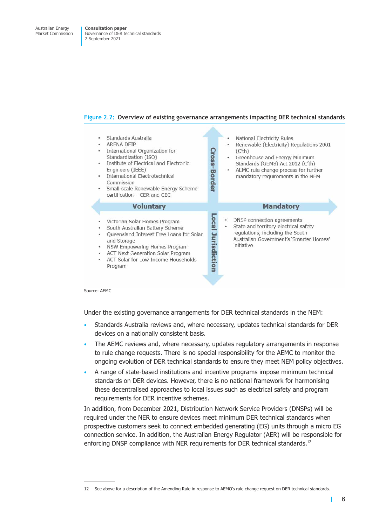#### **Figure 2.2: Overview of existing governance arrangements impacting DER technical standards**



Source: AEMC

Under the existing governance arrangements for DER technical standards in the NEM:

- Standards Australia reviews and, where necessary, updates technical standards for DER devices on a nationally consistent basis.
- The AEMC reviews and, where necessary, updates regulatory arrangements in response to rule change requests. There is no special responsibility for the AEMC to monitor the ongoing evolution of DER technical standards to ensure they meet NEM policy objectives.
- A range of state-based institutions and incentive programs impose minimum technical standards on DER devices. However, there is no national framework for harmonising these decentralised approaches to local issues such as electrical safety and program requirements for DER incentive schemes.

In addition, from December 2021, Distribution Network Service Providers (DNSPs) will be required under the NER to ensure devices meet minimum DER technical standards when prospective customers seek to connect embedded generating (EG) units through a micro EG connection service. In addition, the Australian Energy Regulator (AER) will be responsible for enforcing DNSP compliance with NER requirements for DER technical standards.<sup>12</sup>

<sup>12</sup> See above for a description of the Amending Rule in response to AEMO's rule change request on DER technical standards.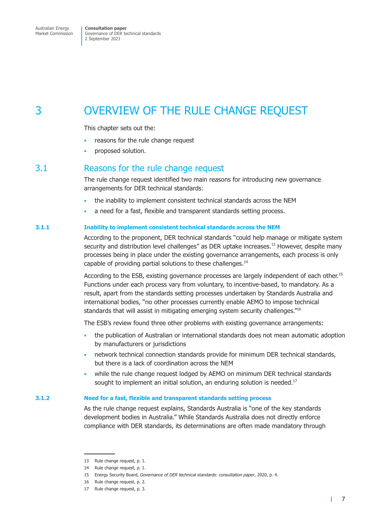# <span id="page-10-0"></span>3 OVERVIEW OF THE RULE CHANGE REQUEST

This chapter sets out the:

- reasons for the rule change request
- proposed solution.

### 3.1 Reasons for the rule change request

The rule change request identified two main reasons for introducing new governance arrangements for DER technical standards:

- the inability to implement consistent technical standards across the NEM
- a need for a fast, flexible and transparent standards setting process.

#### **3.1.1 Inability to implement consistent technical standards across the NEM**

According to the proponent, DER technical standards "could help manage or mitigate system security and distribution level challenges" as DER uptake increases.<sup>13</sup> However, despite many processes being in place under the existing governance arrangements, each process is only capable of providing partial solutions to these challenges.<sup>14</sup>

According to the ESB, existing governance processes are largely independent of each other.<sup>15</sup> Functions under each process vary from voluntary, to incentive-based, to mandatory. As a result, apart from the standards setting processes undertaken by Standards Australia and international bodies, "no other processes currently enable AEMO to impose technical standards that will assist in mitigating emerging system security challenges.<sup>"16</sup>

The ESB's review found three other problems with existing governance arrangements:

- the publication of Australian or international standards does not mean automatic adoption by manufacturers or jurisdictions
- network technical connection standards provide for minimum DER technical standards, but there is a lack of coordination across the NEM
- while the rule change request lodged by AEMO on minimum DER technical standards sought to implement an initial solution, an enduring solution is needed.<sup>17</sup>

#### **3.1.2 Need for a fast, flexible and transparent standards setting process**

As the rule change request explains, Standards Australia is "one of the key standards development bodies in Australia." While Standards Australia does not directly enforce compliance with DER standards, its determinations are often made mandatory through

<span id="page-10-2"></span><span id="page-10-1"></span>т

<sup>13</sup> Rule change request, p. 1.

<sup>14</sup> Rule change request, p. 1.

<sup>15</sup> Energy Security Board, *Governance of DER technical standards: consultation paper*, 2020, p. 4.

<sup>16</sup> Rule change request, p. 2.

<sup>17</sup> Rule change request, p. 3.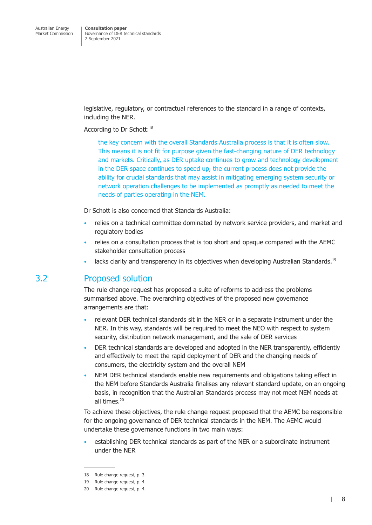<span id="page-11-0"></span>legislative, regulatory, or contractual references to the standard in a range of contexts, including the NER.

#### According to Dr Schott:<sup>18</sup>

the key concern with the overall Standards Australia process is that it is often slow. This means it is not fit for purpose given the fast-changing nature of DER technology and markets. Critically, as DER uptake continues to grow and technology development in the DER space continues to speed up, the current process does not provide the ability for crucial standards that may assist in mitigating emerging system security or network operation challenges to be implemented as promptly as needed to meet the needs of parties operating in the NEM.

Dr Schott is also concerned that Standards Australia:

- relies on a technical committee dominated by network service providers, and market and regulatory bodies
- relies on a consultation process that is too short and opaque compared with the AEMC stakeholder consultation process
- lacks clarity and transparency in its objectives when developing Australian Standards.<sup>19</sup>

### 3.2 Proposed solution

The rule change request has proposed a suite of reforms to address the problems summarised above. The overarching objectives of the proposed new governance arrangements are that:

- relevant DER technical standards sit in the NER or in a separate instrument under the NER. In this way, standards will be required to meet the NEO with respect to system security, distribution network management, and the sale of DER services
- DER technical standards are developed and adopted in the NER transparently, efficiently and effectively to meet the rapid deployment of DER and the changing needs of consumers, the electricity system and the overall NEM
- NEM DER technical standards enable new requirements and obligations taking effect in the NEM before Standards Australia finalises any relevant standard update, on an ongoing basis, in recognition that the Australian Standards process may not meet NEM needs at all times.20

To achieve these objectives, the rule change request proposed that the AEMC be responsible for the ongoing governance of DER technical standards in the NEM. The AEMC would undertake these governance functions in two main ways:

• establishing DER technical standards as part of the NER or a subordinate instrument under the NER

 $\blacksquare$ 

<sup>18</sup> Rule change request, p. 3.

<sup>19</sup> Rule change request, p. 4.

<sup>20</sup> Rule change request, p. 4.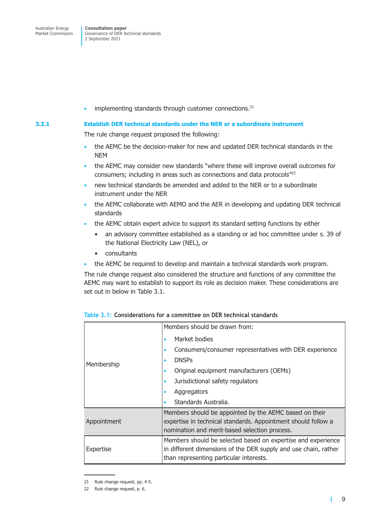<span id="page-12-0"></span>Market Commission

Governance of DER technical standards 2 September 2021

 $\cdot$  implementing standards through customer connections.<sup>21</sup>

#### **3.2.1 Establish DER technical standards under the NER or a subordinate instrument**

The rule change request proposed the following:

- the AEMC be the decision-maker for new and updated DER technical standards in the NEM
- the AEMC may consider new standards "where these will improve overall outcomes for consumers; including in areas such as connections and data protocols"22
- new technical standards be amended and added to the NER or to a subordinate instrument under the NER
- the AEMC collaborate with AEMO and the AER in developing and updating DER technical standards
- the AEMC obtain expert advice to support its standard setting functions by either
	- an advisory committee established as a standing or ad hoc committee under s. 39 of the National Electricity Law (NEL), or
	- consultants
- the AEMC be required to develop and maintain a technical standards work program.

The rule change request also considered the structure and functions of any committee the AEMC may want to establish to support its role as decision maker. These considerations are set out in below in Table 3.1.

|             | Members should be drawn from:                                   |
|-------------|-----------------------------------------------------------------|
|             | Market bodies<br>٠                                              |
|             | Consumers/consumer representatives with DER experience<br>۰     |
| Membership  | <b>DNSPs</b>                                                    |
|             | Original equipment manufacturers (OEMs)<br>٠                    |
|             | Jurisdictional safety regulators<br>۰                           |
|             | Aggregators<br>۰                                                |
|             | Standards Australia.                                            |
|             | Members should be appointed by the AEMC based on their          |
| Appointment | expertise in technical standards. Appointment should follow a   |
|             | nomination and merit-based selection process.                   |
|             | Members should be selected based on expertise and experience    |
| Expertise   | in different dimensions of the DER supply and use chain, rather |
|             | than representing particular interests.                         |

| Table 3.1: Considerations for a committee on DER technical standards |  |  |  |
|----------------------------------------------------------------------|--|--|--|
|----------------------------------------------------------------------|--|--|--|

 $\mathbf{I}$ 

<sup>21</sup> Rule change request, pp. 4-5.

<sup>22</sup> Rule change request, p. 6.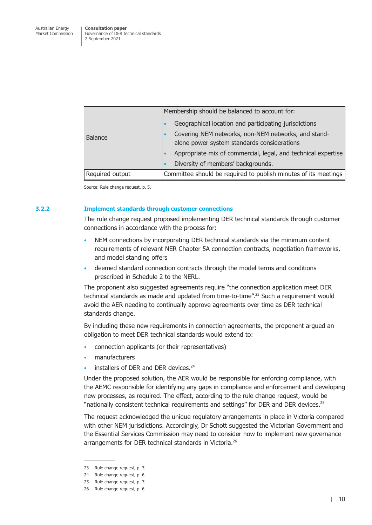|                 | Membership should be balanced to account for:                                                      |
|-----------------|----------------------------------------------------------------------------------------------------|
|                 | Geographical location and participating jurisdictions                                              |
| <b>Balance</b>  | Covering NEM networks, non-NEM networks, and stand-<br>alone power system standards considerations |
|                 | Appropriate mix of commercial, legal, and technical expertise<br>٠                                 |
|                 | Diversity of members' backgrounds.<br>$\bullet$                                                    |
| Required output | Committee should be required to publish minutes of its meetings                                    |

Source: Rule change request, p. 5.

#### **3.2.2 Implement standards through customer connections**

The rule change request proposed implementing DER technical standards through customer connections in accordance with the process for:

- NEM connections by incorporating DER technical standards via the minimum content requirements of relevant NER Chapter 5A connection contracts, negotiation frameworks, and model standing offers
- deemed standard connection contracts through the model terms and conditions prescribed in Schedule 2 to the NERL.

The proponent also suggested agreements require "the connection application meet DER technical standards as made and updated from time-to-time".23 Such a requirement would avoid the AER needing to continually approve agreements over time as DER technical standards change.

By including these new requirements in connection agreements, the proponent argued an obligation to meet DER technical standards would extend to:

- connection applicants (or their representatives)
- manufacturers
- installers of DER and DER devices.<sup>24</sup>

Under the proposed solution, the AER would be responsible for enforcing compliance, with the AEMC responsible for identifying any gaps in compliance and enforcement and developing new processes, as required. The effect, according to the rule change request, would be "nationally consistent technical requirements and settings" for DER and DER devices.<sup>25</sup>

The request acknowledged the unique regulatory arrangements in place in Victoria compared with other NEM jurisdictions. Accordingly, Dr Schott suggested the Victorian Government and the Essential Services Commission may need to consider how to implement new governance arrangements for DER technical standards in Victoria.<sup>26</sup>

<sup>23</sup> Rule change request, p. 7.

<sup>24</sup> Rule change request, p. 6.

<sup>25</sup> Rule change request, p. 7.

<sup>26</sup> Rule change request, p. 6.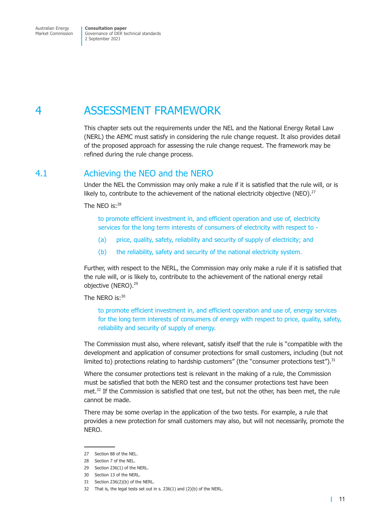<span id="page-14-0"></span>Australian Energy Market Commission

**Consultation paper** Governance of DER technical standards 2 September 2021

# 4 ASSESSMENT FRAMEWORK

This chapter sets out the requirements under the NEL and the National Energy Retail Law (NERL) the AEMC must satisfy in considering the rule change request. It also provides detail of the proposed approach for assessing the rule change request. The framework may be refined during the rule change process.

### 4.1 Achieving the NEO and the NERO

Under the NEL the Commission may only make a rule if it is satisfied that the rule will, or is likely to, contribute to the achievement of the national electricity objective (NEO).<sup>27</sup>

The NEO is:28

<span id="page-14-1"></span>to promote efficient investment in, and efficient operation and use of, electricity services for the long term interests of consumers of electricity with respect to -

- (a) price, quality, safety, reliability and security of supply of electricity; and
- (b) the reliability, safety and security of the national electricity system.

Further, with respect to the NERL, the Commission may only make a rule if it is satisfied that the rule will, or is likely to, contribute to the achievement of the national energy retail objective (NERO).<sup>29</sup>

The NERO is:30

to promote efficient investment in, and efficient operation and use of, energy services for the long term interests of consumers of energy with respect to price, quality, safety, reliability and security of supply of energy.

The Commission must also, where relevant, satisfy itself that the rule is "compatible with the development and application of consumer protections for small customers, including (but not limited to) protections relating to hardship customers" (the "consumer protections test").<sup>31</sup>

Where the consumer protections test is relevant in the making of a rule, the Commission must be satisfied that both the NERO test and the consumer protections test have been met.<sup>32</sup> If the Commission is satisfied that one test, but not the other, has been met, the rule cannot be made.

There may be some overlap in the application of the two tests. For example, a rule that provides a new protection for small customers may also, but will not necessarily, promote the NERO.

<sup>27</sup> Section 88 of the NEL.

<sup>28</sup> Section 7 of the NEL.

<sup>29</sup> Section 236(1) of the NERL.

<sup>30</sup> Section 13 of the NERL.

<sup>31</sup> Section 236(2)(b) of the NERL.

<sup>32</sup> That is, the legal tests set out in s. 236(1) and (2)(b) of the NERL.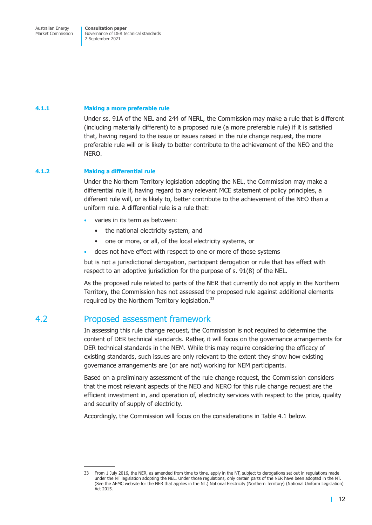<span id="page-15-0"></span>Market Commission

Governance of DER technical standards 2 September 2021

#### **4.1.1 Making a more preferable rule**

Under ss. 91A of the NEL and 244 of NERL, the Commission may make a rule that is different (including materially different) to a proposed rule (a more preferable rule) if it is satisfied that, having regard to the issue or issues raised in the rule change request, the more preferable rule will or is likely to better contribute to the achievement of the NEO and the NERO.

#### **4.1.2 Making a differential rule**

Under the Northern Territory legislation adopting the NEL, the Commission may make a differential rule if, having regard to any relevant MCE statement of policy principles, a different rule will, or is likely to, better contribute to the achievement of the NEO than a uniform rule. A differential rule is a rule that:

- varies in its term as between:
	- the national electricity system, and
	- one or more, or all, of the local electricity systems, or
- does not have effect with respect to one or more of those systems

but is not a jurisdictional derogation, participant derogation or rule that has effect with respect to an adoptive jurisdiction for the purpose of s. 91(8) of the NEL.

As the proposed rule related to parts of the NER that currently do not apply in the Northern Territory, the Commission has not assessed the proposed rule against additional elements required by the Northern Territory legislation.<sup>33</sup>

### 4.2 Proposed assessment framework

In assessing this rule change request, the Commission is not required to determine the content of DER technical standards. Rather, it will focus on the governance arrangements for DER technical standards in the NEM. While this may require considering the efficacy of existing standards, such issues are only relevant to the extent they show how existing governance arrangements are (or are not) working for NEM participants.

Based on a preliminary assessment of the rule change request, the Commission considers that the most relevant aspects of the NEO and NERO for this rule change request are the efficient investment in, and operation of, electricity services with respect to the price, quality and security of supply of electricity.

Accordingly, the Commission will focus on the considerations in Table 4.1 below.

<sup>33</sup> From 1 July 2016, the NER, as amended from time to time, apply in the NT, subject to derogations set out in regulations made under the NT legislation adopting the NEL. Under those regulations, only certain parts of the NER have been adopted in the NT. (See the AEMC website for the NER that applies in the NT.) National Electricity (Northern Territory) (National Uniform Legislation) Act 2015.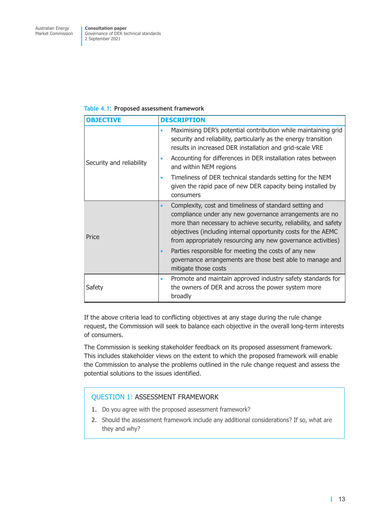#### <span id="page-16-0"></span>**Table 4.1: Proposed assessment framework**

| <b>OBJECTIVE</b>         | <b>DESCRIPTION</b>                                                                                                                                                                                                                                                                                                                                                                                                                                                                             |
|--------------------------|------------------------------------------------------------------------------------------------------------------------------------------------------------------------------------------------------------------------------------------------------------------------------------------------------------------------------------------------------------------------------------------------------------------------------------------------------------------------------------------------|
|                          | Maximising DER's potential contribution while maintaining grid<br>$\bullet$<br>security and reliability, particularly as the energy transition<br>results in increased DER installation and grid-scale VRE                                                                                                                                                                                                                                                                                     |
| Security and reliability | Accounting for differences in DER installation rates between<br>$\bullet$<br>and within NEM regions                                                                                                                                                                                                                                                                                                                                                                                            |
|                          | Timeliness of DER technical standards setting for the NEM<br>$\bullet$<br>given the rapid pace of new DER capacity being installed by<br>consumers                                                                                                                                                                                                                                                                                                                                             |
| Price                    | Complexity, cost and timeliness of standard setting and<br>$\bullet$<br>compliance under any new governance arrangements are no<br>more than necessary to achieve security, reliability, and safety<br>objectives (including internal opportunity costs for the AEMC<br>from appropriately resourcing any new governance activities)<br>Parties responsible for meeting the costs of any new<br>$\bullet$<br>governance arrangements are those best able to manage and<br>mitigate those costs |
| Safety                   | Promote and maintain approved industry safety standards for<br>$\bullet$<br>the owners of DER and across the power system more<br>broadly                                                                                                                                                                                                                                                                                                                                                      |

If the above criteria lead to conflicting objectives at any stage during the rule change request, the Commission will seek to balance each objective in the overall long-term interests of consumers.

The Commission is seeking stakeholder feedback on its proposed assessment framework. This includes stakeholder views on the extent to which the proposed framework will enable the Commission to analyse the problems outlined in the rule change request and assess the potential solutions to the issues identified.

### QUESTION 1: ASSESSMENT FRAMEWORK

- 1. Do you agree with the proposed assessment framework?
- 2. Should the assessment framework include any additional considerations? If so, what are they and why?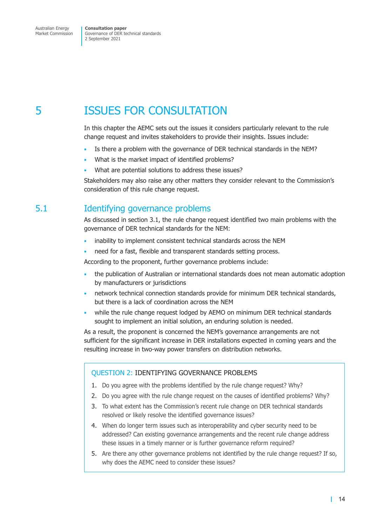<span id="page-17-0"></span>Market Commission

Governance of DER technical standards 2 September 2021

## 5 ISSUES FOR CONSULTATION

In this chapter the AEMC sets out the issues it considers particularly relevant to the rule change request and invites stakeholders to provide their insights. Issues include:

- <span id="page-17-1"></span>Is there a problem with the governance of DER technical standards in the NEM?
- What is the market impact of identified problems?
- What are potential solutions to address these issues?

Stakeholders may also raise any other matters they consider relevant to the Commission's consideration of this rule change request.

### 5.1 Identifying governance problems

As discussed in section 3.1, the rule change request identified two main problems with the governance of DER technical standards for the NEM:

- inability to implement consistent technical standards across the NEM
- need for a f[ast, flexible](#page-10-2) and transparent standards setting process.

According to the proponent, further governance problems include:

- the publication of Australian or international standards does not mean automatic adoption by manufacturers or jurisdictions
- network technical connection standards provide for minimum DER technical standards, but there is a lack of coordination across the NEM
- while the rule change request lodged by AEMO on minimum DER technical standards sought to implement an initial solution, an enduring solution is needed.

As a result, the proponent is concerned the NEM's governance arrangements are not sufficient for the significant increase in DER installations expected in coming years and the resulting increase in two-way power transfers on distribution networks.

#### QUESTION 2: IDENTIFYING GOVERNANCE PROBLEMS

- 1. Do you agree with the problems identified by the rule change request? Why?
- 2. Do you agree with the rule change request on the causes of identified problems? Why?
- 3. To what extent has the Commission's recent rule change on DER technical standards resolved or likely resolve the identified governance issues?
- 4. When do longer term issues such as interoperability and cyber security need to be addressed? Can existing governance arrangements and the recent rule change address these issues in a timely manner or is further governance reform required?
- 5. Are there any other governance problems not identified by the rule change request? If so, why does the AEMC need to consider these issues?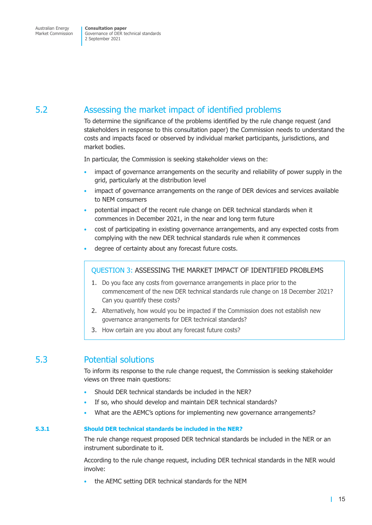## <span id="page-18-0"></span>5.2 Assessing the market impact of identified problems

To determine the significance of the problems identified by the rule change request (and stakeholders in response to this consultation paper) the Commission needs to understand the costs and impacts faced or observed by individual market participants, jurisdictions, and market bodies.

In particular, the Commission is seeking stakeholder views on the:

- impact of governance arrangements on the security and reliability of power supply in the grid, particularly at the distribution level
- impact of governance arrangements on the range of DER devices and services available to NEM consumers
- potential impact of the recent rule change on DER technical standards when it commences in December 2021, in the near and long term future
- cost of participating in existing governance arrangements, and any expected costs from complying with the new DER technical standards rule when it commences
- degree of certainty about any forecast future costs.

### QUESTION 3: ASSESSING THE MARKET IMPACT OF IDENTIFIED PROBLEMS

- 1. Do you face any costs from governance arrangements in place prior to the commencement of the new DER technical standards rule change on 18 December 2021? Can you quantify these costs?
- 2. Alternatively, how would you be impacted if the Commission does not establish new governance arrangements for DER technical standards?
- 3. How certain are you about any forecast future costs?

### 5.3 Potential solutions

To inform its response to the rule change request, the Commission is seeking stakeholder views on three main questions:

- Should DER technical standards be included in the NER?
- If so, who should develop and maintain DER technical standards?
- What are the AEMC's options for implementing new governance arrangements?

#### **5.3.1 Should DER technical standards be included in the NER?**

The rule change request proposed DER technical standards be included in the NER or an instrument subordinate to it.

According to the rule change request, including DER technical standards in the NER would involve:

• the AEMC setting DER technical standards for the NEM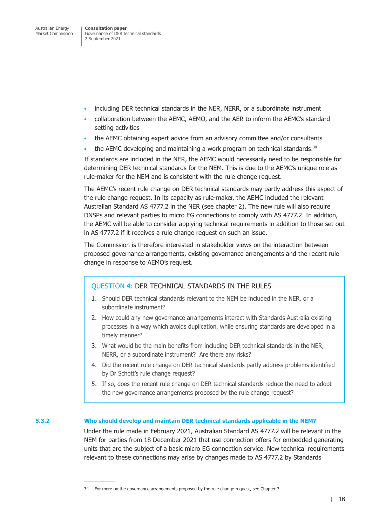Governance of DER technical standards 2 September 2021

- including DER technical standards in the NER, NERR, or a subordinate instrument
- collaboration between the AEMC, AEMO, and the AER to inform the AEMC's standard setting activities
- the AEMC obtaining expert advice from an advisory committee and/or consultants
- the AEMC developing and maintaining a work program on technical standards.<sup>34</sup>

If standards are included in the NER, the AEMC would necessarily need to be responsible for determining DER technical standards for the NEM. This is due to the AEMC's unique role as rule-maker for the NEM and is consistent with the rule change request.

The AEMC's recent rule change on DER technical standards may partly address this aspect of the rule change request. In its capacity as rule-maker, the AEMC included the relevant Australian Standard AS 4777.2 in the NER (see chapter 2). The new rule will also require DNSPs and relevant parties to micro EG connections to comply with AS 4777.2. In addition, the AEMC will be able to consider applying technical requirements in addition to those set out in AS 4777.2 if it receives a rule change reque[st on such](#page-6-1) an issue.

The Commission is therefore interested in stakeholder views on the interaction between proposed governance arrangements, existing governance arrangements and the recent rule change in response to AEMO's request.

#### QUESTION 4: DER TECHNICAL STANDARDS IN THE RULES

- 1. Should DER technical standards relevant to the NEM be included in the NER, or a subordinate instrument?
- 2. How could any new governance arrangements interact with Standards Australia existing processes in a way which avoids duplication, while ensuring standards are developed in a timely manner?
- 3. What would be the main benefits from including DER technical standards in the NER, NERR, or a subordinate instrument? Are there any risks?
- 4. Did the recent rule change on DER technical standards partly address problems identified by Dr Schott's rule change request?
- 5. If so, does the recent rule change on DER technical standards reduce the need to adopt the new governance arrangements proposed by the rule change request?

#### **5.3.2 Who should develop and maintain DER technical standards applicable in the NEM?**

Under the rule made in February 2021, Australian Standard AS 4777.2 will be relevant in the NEM for parties from 18 December 2021 that use connection offers for embedded generating units that are the subject of a basic micro EG connection service. New technical requirements relevant to these connections may arise by changes made to AS 4777.2 by Standards

<sup>34</sup> For more on the governance arrangements proposed by the rule change request, see Chapter 3.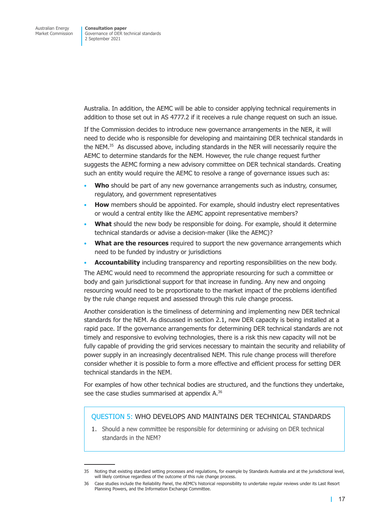Australia. In addition, the AEMC will be able to consider applying technical requirements in addition to those set out in AS 4777.2 if it receives a rule change request on such an issue.

If the Commission decides to introduce new governance arrangements in the NER, it will need to decide who is responsible for developing and maintaining DER technical standards in the NEM.<sup>35</sup> As discussed above, including standards in the NER will necessarily require the AEMC to determine standards for the NEM. However, the rule change request further suggests the AEMC forming a new advisory committee on DER technical standards. Creating such an entity would require the AEMC to resolve a range of governance issues such as:

- **Who** should be part of any new governance arrangements such as industry, consumer, regulatory, and government representatives
- **How** members should be appointed. For example, should industry elect representatives or would a central entity like the AEMC appoint representative members?
- **What** should the new body be responsible for doing. For example, should it determine technical standards or advise a decision-maker (like the AEMC)?
- **What are the resources** required to support the new governance arrangements which need to be funded by industry or jurisdictions
- **Accountability** including transparency and reporting responsibilities on the new body.

The AEMC would need to recommend the appropriate resourcing for such a committee or body and gain jurisdictional support for that increase in funding. Any new and ongoing resourcing would need to be proportionate to the market impact of the problems identified by the rule change request and assessed through this rule change process.

Another consideration is the timeliness of determining and implementing new DER technical standards for the NEM. As discussed in section 2.1, new DER capacity is being installed at a rapid pace. If the governance arrangements for determining DER technical standards are not timely and responsive to evolving technologies, there is a risk this new capacity will not be fully capable of providing the grid servi[ces necessar](#page-6-3)y to maintain the security and reliability of power supply in an increasingly decentralised NEM. This rule change process will therefore consider whether it is possible to form a more effective and efficient process for setting DER technical standards in the NEM.

For examples of how other technical bodies are structured, and the functions they undertake, see the case studies summarised at appendix  $A^{36}$ 

#### QUESTION 5: WHO DEVELOPS AND MAINTAINS DER TECHNICAL STANDARDS

1. Should a new committee be res[ponsible for](#page-25-1) determining or advising on DER technical standards in the NEM?

<sup>35</sup> Noting that existing standard setting processes and regulations, for example by Standards Australia and at the jurisdictional level, will likely continue regardless of the outcome of this rule change process.

<sup>36</sup> Case studies include the Reliability Panel, the AEMC's historical responsibility to undertake regular reviews under its Last Resort Planning Powers, and the Information Exchange Committee.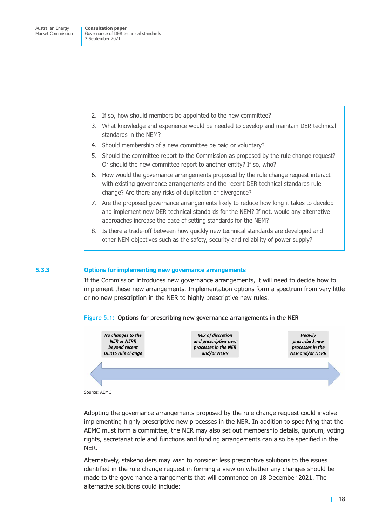- 2. If so, how should members be appointed to the new committee?
- 3. What knowledge and experience would be needed to develop and maintain DER technical standards in the NEM?
- 4. Should membership of a new committee be paid or voluntary?
- 5. Should the committee report to the Commission as proposed by the rule change request? Or should the new committee report to another entity? If so, who?
- 6. How would the governance arrangements proposed by the rule change request interact with existing governance arrangements and the recent DER technical standards rule change? Are there any risks of duplication or divergence?
- 7. Are the proposed governance arrangements likely to reduce how long it takes to develop and implement new DER technical standards for the NEM? If not, would any alternative approaches increase the pace of setting standards for the NEM?
- 8. Is there a trade-off between how quickly new technical standards are developed and other NEM objectives such as the safety, security and reliability of power supply?

#### **5.3.3 Options for implementing new governance arrangements**

If the Commission introduces new governance arrangements, it will need to decide how to implement these new arrangements. Implementation options form a spectrum from very little or no new prescription in the NER to highly prescriptive new rules.



#### **Figure 5.1: Options for prescribing new governance arrangements in the NER**

Source: AEMC

Adopting the governance arrangements proposed by the rule change request could involve implementing highly prescriptive new processes in the NER. In addition to specifying that the AEMC must form a committee, the NER may also set out membership details, quorum, voting rights, secretariat role and functions and funding arrangements can also be specified in the NER.

Alternatively, stakeholders may wish to consider less prescriptive solutions to the issues identified in the rule change request in forming a view on whether any changes should be made to the governance arrangements that will commence on 18 December 2021. The alternative solutions could include: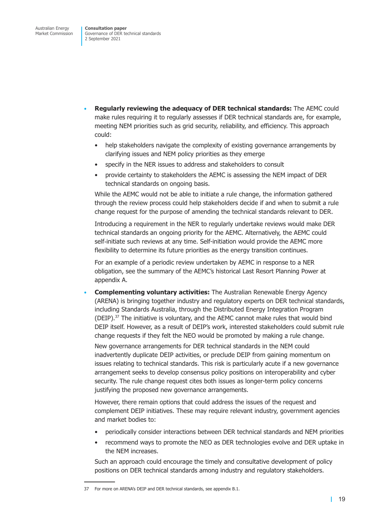- **Regularly reviewing the adequacy of DER technical standards:** The AEMC could make rules requiring it to regularly assesses if DER technical standards are, for example, meeting NEM priorities such as grid security, reliability, and efficiency. This approach could:
	- help stakeholders navigate the complexity of existing governance arrangements by clarifying issues and NEM policy priorities as they emerge
	- specify in the NER issues to address and stakeholders to consult
	- provide certainty to stakeholders the AEMC is assessing the NEM impact of DER technical standards on ongoing basis.

While the AEMC would not be able to initiate a rule change, the information gathered through the review process could help stakeholders decide if and when to submit a rule change request for the purpose of amending the technical standards relevant to DER.

Introducing a requirement in the NER to regularly undertake reviews would make DER technical standards an ongoing priority for the AEMC. Alternatively, the AEMC could self-initiate such reviews at any time. Self-initiation would provide the AEMC more flexibility to determine its future priorities as the energy transition continues.

For an example of a periodic review undertaken by AEMC in response to a NER obligation, see the summary of the AEMC's historical Last Resort Planning Power at appendix A.

• **Complementing voluntary activities:** The Australian Renewable Energy Agency (ARENA) is bringing together industry and regulatory experts on DER technical standards, [including St](#page-25-1)andards Australia, through the Distributed Energy Integration Program (DEIP). $37$  The initiative is voluntary, and the AEMC cannot make rules that would bind DEIP itself. However, as a result of DEIP's work, interested stakeholders could submit rule change requests if they felt the NEO would be promoted by making a rule change.

New governance arrangements for DER technical standards in the NEM could inadvertently duplicate DEIP activities, or preclude DEIP from gaining momentum on issues relating to technical standards. This risk is particularly acute if a new governance arrangement seeks to develop consensus policy positions on interoperability and cyber security. The rule change request cites both issues as longer-term policy concerns justifying the proposed new governance arrangements.

However, there remain options that could address the issues of the request and complement DEIP initiatives. These may require relevant industry, government agencies and market bodies to:

- periodically consider interactions between DER technical standards and NEM priorities
- recommend ways to promote the NEO as DER technologies evolve and DER uptake in the NEM increases.

Such an approach could encourage the timely and consultative development of policy positions on DER technical standards among industry and regulatory stakeholders.

<sup>37</sup> For more on ARENA's DEIP and DER technical standards, see appendix B.1.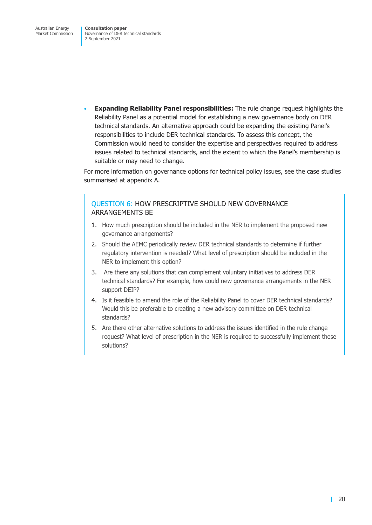Governance of DER technical standards 2 September 2021

• **Expanding Reliability Panel responsibilities:** The rule change request highlights the Reliability Panel as a potential model for establishing a new governance body on DER technical standards. An alternative approach could be expanding the existing Panel's responsibilities to include DER technical standards. To assess this concept, the Commission would need to consider the expertise and perspectives required to address issues related to technical standards, and the extent to which the Panel's membership is suitable or may need to change.

For more information on governance options for technical policy issues, see the case studies summarised at appendix A.

### QUESTION 6: HOW PRESCRIPTIVE SHOULD NEW GOVERNANCE ARRANGE[MENTS BE](#page-25-1)

- 1. How much prescription should be included in the NER to implement the proposed new governance arrangements?
- 2. Should the AEMC periodically review DER technical standards to determine if further regulatory intervention is needed? What level of prescription should be included in the NER to implement this option?
- 3. Are there any solutions that can complement voluntary initiatives to address DER technical standards? For example, how could new governance arrangements in the NER support DEIP?
- 4. Is it feasible to amend the role of the Reliability Panel to cover DER technical standards? Would this be preferable to creating a new advisory committee on DER technical standards?
- 5. Are there other alternative solutions to address the issues identified in the rule change request? What level of prescription in the NER is required to successfully implement these solutions?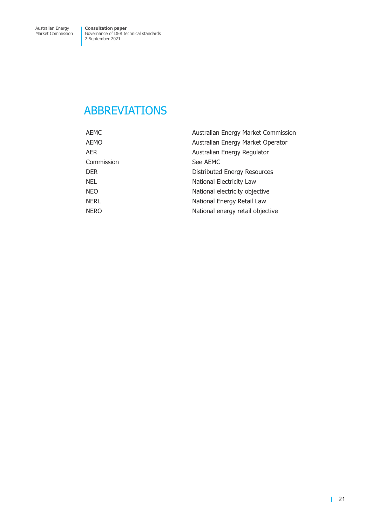## <span id="page-24-0"></span>ABBREVIATIONS

| <b>AEMC</b> | Australian Energy Market Commission |
|-------------|-------------------------------------|
| <b>AEMO</b> | Australian Energy Market Operator   |
| <b>AER</b>  | Australian Energy Regulator         |
| Commission  | See AEMC                            |
| <b>DER</b>  | Distributed Energy Resources        |
| <b>NEL</b>  | National Electricity Law            |
| <b>NEO</b>  | National electricity objective      |
| <b>NERL</b> | National Energy Retail Law          |
| <b>NERO</b> | National energy retail objective    |
|             |                                     |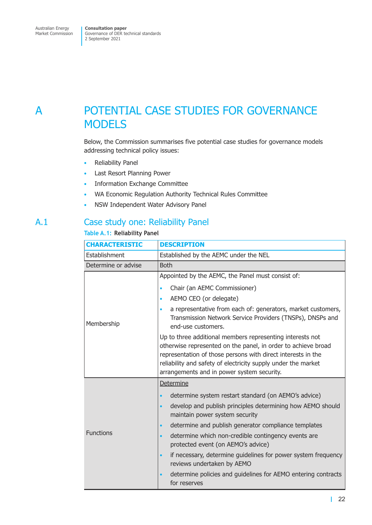## <span id="page-25-0"></span>A POTENTIAL CASE STUDIES FOR GOVERNANCE **MODELS**

<span id="page-25-1"></span>Below, the Commission summarises five potential case studies for governance models addressing technical policy issues:

- Reliability Panel
- Last Resort Planning Power
- Information Exchange Committee
- WA Economic Regulation Authority Technical Rules Committee
- NSW Independent Water Advisory Panel

### A.1 Case study one: Reliability Panel

### **Table A.1: Reliability Panel**

| <b>CHARACTERISTIC</b> | <b>DESCRIPTION</b>                                                                                                                                                                                                                                                                                                                                                                                                                                                                                                                                                                   |
|-----------------------|--------------------------------------------------------------------------------------------------------------------------------------------------------------------------------------------------------------------------------------------------------------------------------------------------------------------------------------------------------------------------------------------------------------------------------------------------------------------------------------------------------------------------------------------------------------------------------------|
| Establishment         | Established by the AEMC under the NEL                                                                                                                                                                                                                                                                                                                                                                                                                                                                                                                                                |
| Determine or advise   | <b>Both</b>                                                                                                                                                                                                                                                                                                                                                                                                                                                                                                                                                                          |
|                       | Appointed by the AEMC, the Panel must consist of:<br>Chair (an AEMC Commissioner)<br>$\bullet$<br>AEMO CEO (or delegate)<br>$\bullet$<br>a representative from each of: generators, market customers,<br>$\bullet$<br>Transmission Network Service Providers (TNSPs), DNSPs and                                                                                                                                                                                                                                                                                                      |
| Membership            | end-use customers.<br>Up to three additional members representing interests not<br>otherwise represented on the panel, in order to achieve broad<br>representation of those persons with direct interests in the<br>reliability and safety of electricity supply under the market<br>arrangements and in power system security.                                                                                                                                                                                                                                                      |
| <b>Functions</b>      | Determine<br>determine system restart standard (on AEMO's advice)<br>$\bullet$<br>develop and publish principles determining how AEMO should<br>$\bullet$<br>maintain power system security<br>determine and publish generator compliance templates<br>$\bullet$<br>determine which non-credible contingency events are<br>$\bullet$<br>protected event (on AEMO's advice)<br>if necessary, determine guidelines for power system frequency<br>$\bullet$<br>reviews undertaken by AEMO<br>determine policies and guidelines for AEMO entering contracts<br>$\bullet$<br>for reserves |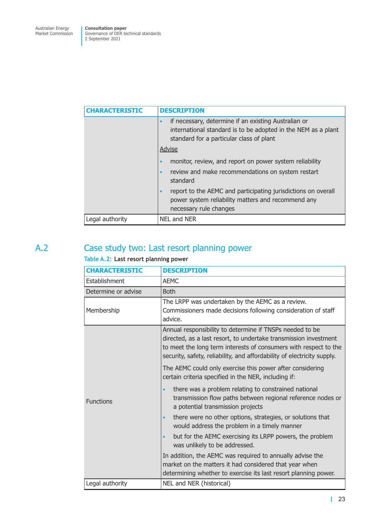<span id="page-26-0"></span>

| <b>CHARACTERISTIC</b> | <b>DESCRIPTION</b>                                                                                                                                                             |
|-----------------------|--------------------------------------------------------------------------------------------------------------------------------------------------------------------------------|
|                       | if necessary, determine if an existing Australian or<br>$\bullet$<br>international standard is to be adopted in the NEM as a plant<br>standard for a particular class of plant |
|                       | Advise                                                                                                                                                                         |
|                       | monitor, review, and report on power system reliability<br>$\bullet$                                                                                                           |
|                       | review and make recommendations on system restart<br>$\bullet$<br>standard                                                                                                     |
|                       | report to the AEMC and participating jurisdictions on overall<br>$\bullet$<br>power system reliability matters and recommend any<br>necessary rule changes                     |
| Legal authority       | NEL and NER                                                                                                                                                                    |

## A.2 Case study two: Last resort planning power

### **Table A.2: Last resort planning power**

| <b>CHARACTERISTIC</b> | <b>DESCRIPTION</b>                                                                                                                                                                                                                                                          |
|-----------------------|-----------------------------------------------------------------------------------------------------------------------------------------------------------------------------------------------------------------------------------------------------------------------------|
| Establishment         | <b>AEMC</b>                                                                                                                                                                                                                                                                 |
| Determine or advise   | <b>Both</b>                                                                                                                                                                                                                                                                 |
| Membership            | The LRPP was undertaken by the AEMC as a review.<br>Commissioners made decisions following consideration of staff<br>advice.                                                                                                                                                |
|                       | Annual responsibility to determine if TNSPs needed to be<br>directed, as a last resort, to undertake transmission investment<br>to meet the long term interests of consumers with respect to the<br>security, safety, reliability, and affordability of electricity supply. |
|                       | The AEMC could only exercise this power after considering<br>certain criteria specified in the NER, including if:                                                                                                                                                           |
| <b>Functions</b>      | there was a problem relating to constrained national<br>transmission flow paths between regional reference nodes or<br>a potential transmission projects                                                                                                                    |
|                       | there were no other options, strategies, or solutions that<br>$\bullet$<br>would address the problem in a timely manner                                                                                                                                                     |
|                       | but for the AEMC exercising its LRPP powers, the problem<br>$\bullet$<br>was unlikely to be addressed.                                                                                                                                                                      |
|                       | In addition, the AEMC was required to annually advise the<br>market on the matters it had considered that year when<br>determining whether to exercise its last resort planning power.                                                                                      |
| Legal authority       | NEL and NER (historical)                                                                                                                                                                                                                                                    |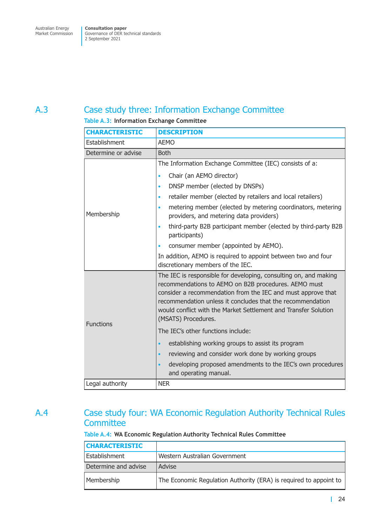## <span id="page-27-0"></span>A.3 Case study three: Information Exchange Committee

### **Table A.3: Information Exchange Committee**

| <b>CHARACTERISTIC</b> | <b>DESCRIPTION</b>                                                                                                                                                                                                                                                                                                                                                                                                                                                                                     |
|-----------------------|--------------------------------------------------------------------------------------------------------------------------------------------------------------------------------------------------------------------------------------------------------------------------------------------------------------------------------------------------------------------------------------------------------------------------------------------------------------------------------------------------------|
| Establishment         | <b>AEMO</b>                                                                                                                                                                                                                                                                                                                                                                                                                                                                                            |
| Determine or advise   | <b>Both</b>                                                                                                                                                                                                                                                                                                                                                                                                                                                                                            |
| Membership            | The Information Exchange Committee (IEC) consists of a:<br>Chair (an AEMO director)<br>$\bullet$<br>DNSP member (elected by DNSPs)<br>$\bullet$<br>retailer member (elected by retailers and local retailers)<br>$\bullet$<br>metering member (elected by metering coordinators, metering<br>$\bullet$<br>providers, and metering data providers)<br>third-party B2B participant member (elected by third-party B2B<br>$\bullet$<br>participants)<br>consumer member (appointed by AEMO).<br>$\bullet$ |
|                       | In addition, AEMO is required to appoint between two and four<br>discretionary members of the IEC.                                                                                                                                                                                                                                                                                                                                                                                                     |
| <b>Functions</b>      | The IEC is responsible for developing, consulting on, and making<br>recommendations to AEMO on B2B procedures. AEMO must<br>consider a recommendation from the IEC and must approve that<br>recommendation unless it concludes that the recommendation<br>would conflict with the Market Settlement and Transfer Solution<br>(MSATS) Procedures.                                                                                                                                                       |
|                       | The IEC's other functions include:                                                                                                                                                                                                                                                                                                                                                                                                                                                                     |
|                       | establishing working groups to assist its program<br>$\bullet$                                                                                                                                                                                                                                                                                                                                                                                                                                         |
|                       | reviewing and consider work done by working groups<br>$\bullet$                                                                                                                                                                                                                                                                                                                                                                                                                                        |
|                       | developing proposed amendments to the IEC's own procedures<br>$\bullet$<br>and operating manual.                                                                                                                                                                                                                                                                                                                                                                                                       |
| Legal authority       | <b>NER</b>                                                                                                                                                                                                                                                                                                                                                                                                                                                                                             |

## A.4 Case study four: WA Economic Regulation Authority Technical Rules **Committee**

### **Table A.4: WA Economic Regulation Authority Technical Rules Committee**

| <b>CHARACTERISTIC</b> |                                                                   |
|-----------------------|-------------------------------------------------------------------|
| Establishment         | Western Australian Government                                     |
| Determine and advise  | Advise                                                            |
| Membership            | The Economic Regulation Authority (ERA) is required to appoint to |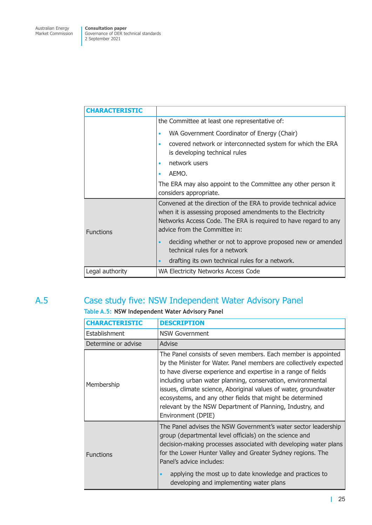<span id="page-28-0"></span>

| <b>CHARACTERISTIC</b> |                                                                                                                                                                                                                                     |
|-----------------------|-------------------------------------------------------------------------------------------------------------------------------------------------------------------------------------------------------------------------------------|
|                       | the Committee at least one representative of:                                                                                                                                                                                       |
|                       | WA Government Coordinator of Energy (Chair)<br>$\bullet$                                                                                                                                                                            |
|                       | covered network or interconnected system for which the ERA<br>$\bullet$<br>is developing technical rules                                                                                                                            |
|                       | network users<br>٠                                                                                                                                                                                                                  |
|                       | AEMO.<br>٠                                                                                                                                                                                                                          |
|                       | The ERA may also appoint to the Committee any other person it                                                                                                                                                                       |
|                       | considers appropriate.                                                                                                                                                                                                              |
| <b>Functions</b>      | Convened at the direction of the ERA to provide technical advice<br>when it is assessing proposed amendments to the Electricity<br>Networks Access Code. The ERA is required to have regard to any<br>advice from the Committee in: |
|                       | deciding whether or not to approve proposed new or amended<br>$\bullet$<br>technical rules for a network<br>drafting its own technical rules for a network.<br>$\bullet$                                                            |
| Legal authority       | WA Electricity Networks Access Code                                                                                                                                                                                                 |
|                       |                                                                                                                                                                                                                                     |

## A.5 Case study five: NSW Independent Water Advisory Panel

### **Table A.5: NSW Independent Water Advisory Panel**

| <b>CHARACTERISTIC</b> | <b>DESCRIPTION</b>                                                                                                                                                                                                                                                                                                                                                                                                                                                                      |
|-----------------------|-----------------------------------------------------------------------------------------------------------------------------------------------------------------------------------------------------------------------------------------------------------------------------------------------------------------------------------------------------------------------------------------------------------------------------------------------------------------------------------------|
| Establishment         | <b>NSW Government</b>                                                                                                                                                                                                                                                                                                                                                                                                                                                                   |
| Determine or advise   | Advise                                                                                                                                                                                                                                                                                                                                                                                                                                                                                  |
| Membership            | The Panel consists of seven members. Each member is appointed<br>by the Minister for Water. Panel members are collectively expected<br>to have diverse experience and expertise in a range of fields<br>including urban water planning, conservation, environmental<br>issues, climate science, Aboriginal values of water, groundwater<br>ecosystems, and any other fields that might be determined<br>relevant by the NSW Department of Planning, Industry, and<br>Environment (DPIE) |
| <b>Functions</b>      | The Panel advises the NSW Government's water sector leadership<br>group (departmental level officials) on the science and<br>decision-making processes associated with developing water plans<br>for the Lower Hunter Valley and Greater Sydney regions. The<br>Panel's advice includes:<br>applying the most up to date knowledge and practices to<br>$\bullet$<br>developing and implementing water plans                                                                             |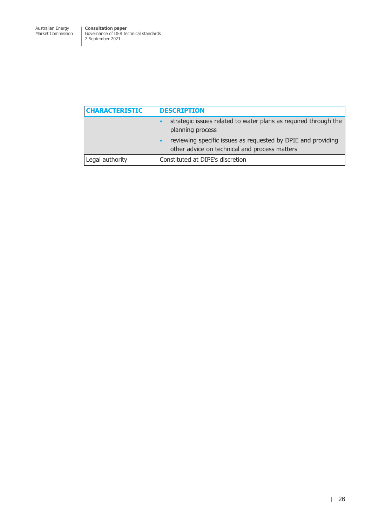| <b>CHARACTERISTIC</b> | <b>DESCRIPTION</b>                                                                                            |
|-----------------------|---------------------------------------------------------------------------------------------------------------|
|                       | strategic issues related to water plans as required through the<br>planning process                           |
|                       | reviewing specific issues as requested by DPIE and providing<br>other advice on technical and process matters |
| Legal authority       | Constituted at DIPE's discretion                                                                              |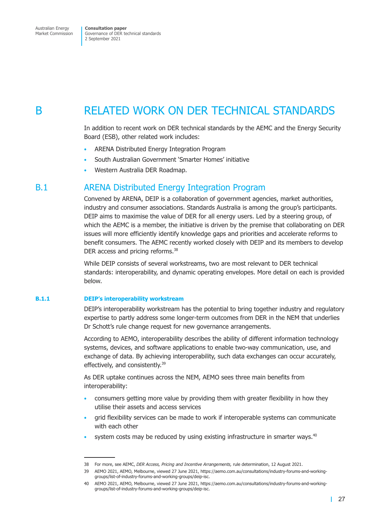## <span id="page-30-0"></span>B RELATED WORK ON DER TECHNICAL STANDARDS

In addition to recent work on DER technical standards by the AEMC and the Energy Security Board (ESB), other related work includes:

- ARENA Distributed Energy Integration Program
- South Australian Government 'Smarter Homes' initiative
- Western Australia DER Roadmap.

### B.1 ARENA Distributed Energy Integration Program

Convened by ARENA, DEIP is a collaboration of government agencies, market authorities, industry and consumer associations. Standards Australia is among the group's participants. DEIP aims to maximise the value of DER for all energy users. Led by a steering group, of which the AEMC is a member, the initiative is driven by the premise that collaborating on DER issues will more efficiently identify knowledge gaps and priorities and accelerate reforms to benefit consumers. The AEMC recently worked closely with DEIP and its members to develop DER access and pricing reforms.<sup>38</sup>

While DEIP consists of several workstreams, two are most relevant to DER technical standards: interoperability, and dynamic operating envelopes. More detail on each is provided below.

#### **B.1.1 DEIP's interoperability workstream**

DEIP's interoperability workstream has the potential to bring together industry and regulatory expertise to partly address some longer-term outcomes from DER in the NEM that underlies Dr Schott's rule change request for new governance arrangements.

According to AEMO, interoperability describes the ability of different information technology systems, devices, and software applications to enable two-way communication, use, and exchange of data. By achieving interoperability, such data exchanges can occur accurately, effectively, and consistently.<sup>39</sup>

As DER uptake continues across the NEM, AEMO sees three main benefits from interoperability:

- consumers getting more value by providing them with greater flexibility in how they utilise their assets and access services
- grid flexibility services can be made to work if interoperable systems can communicate with each other
- system costs may be reduced by using existing infrastructure in smarter ways.<sup>40</sup>

<sup>38</sup> For more, see AEMC, *DER Access, Pricing and Incentive Arrangements,* rule determination, 12 August 2021.

<sup>39</sup> AEMO 2021, AEMO, Melbourne, viewed 27 June 2021, https://aemo.com.au/consultations/industry-forums-and-workinggroups/list-of-industry-forums-and-working-groups/deip-isc.

<sup>40</sup> AEMO 2021, AEMO, Melbourne, viewed 27 June 2021, https://aemo.com.au/consultations/industry-forums-and-workinggroups/list-of-industry-forums-and-working-groups/deip-isc.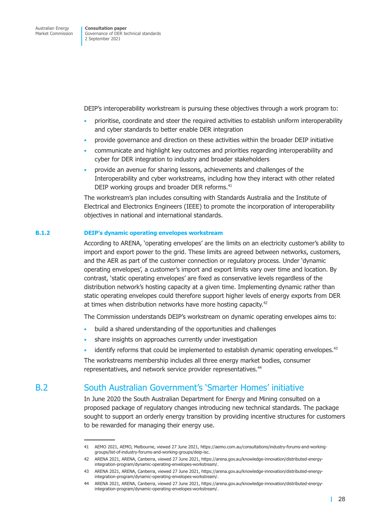<span id="page-31-0"></span>DEIP's interoperability workstream is pursuing these objectives through a work program to:

- prioritise, coordinate and steer the required activities to establish uniform interoperability and cyber standards to better enable DER integration
- provide governance and direction on these activities within the broader DEIP initiative
- communicate and highlight key outcomes and priorities regarding interoperability and cyber for DER integration to industry and broader stakeholders
- provide an avenue for sharing lessons, achievements and challenges of the Interoperability and cyber workstreams, including how they interact with other related DEIP working groups and broader DER reforms.<sup>41</sup>

The workstream's plan includes consulting with Standards Australia and the Institute of Electrical and Electronics Engineers (IEEE) to promote the incorporation of interoperability objectives in national and international standards.

#### **B.1.2 DEIP's dynamic operating envelopes workstream**

According to ARENA, 'operating envelopes' are the limits on an electricity customer's ability to import and export power to the grid. These limits are agreed between networks, customers, and the AER as part of the customer connection or regulatory process. Under 'dynamic operating envelopes', a customer's import and export limits vary over time and location. By contrast, 'static operating envelopes' are fixed as conservative levels regardless of the distribution network's hosting capacity at a given time. Implementing dynamic rather than static operating envelopes could therefore support higher levels of energy exports from DER at times when distribution networks have more hosting capacity.<sup>42</sup>

The Commission understands DEIP's workstream on dynamic operating envelopes aims to:

- build a shared understanding of the opportunities and challenges
- share insights on approaches currently under investigation
- identify reforms that could be implemented to establish dynamic operating envelopes. $43$

The workstreams membership includes all three energy market bodies, consumer representatives, and network service provider representatives.<sup>44</sup>

### B.2 South Australian Government's 'Smarter Homes' initiative

In June 2020 the South Australian Department for Energy and Mining consulted on a proposed package of regulatory changes introducing new technical standards. The package sought to support an orderly energy transition by providing incentive structures for customers to be rewarded for managing their energy use.

<sup>41</sup> AEMO 2021, AEMO, Melbourne, viewed 27 June 2021, https://aemo.com.au/consultations/industry-forums-and-workinggroups/list-of-industry-forums-and-working-groups/deip-isc.

<sup>42</sup> ARENA 2021, ARENA, Canberra, viewed 27 June 2021, https://arena.gov.au/knowledge-innovation/distributed-energyintegration-program/dynamic-operating-envelopes-workstream/.

<sup>43</sup> ARENA 2021, ARENA, Canberra, viewed 27 June 2021, https://arena.gov.au/knowledge-innovation/distributed-energyintegration-program/dynamic-operating-envelopes-workstream/.

<sup>44</sup> ARENA 2021, ARENA, Canberra, viewed 27 June 2021, https://arena.gov.au/knowledge-innovation/distributed-energyintegration-program/dynamic-operating-envelopes-workstream/.